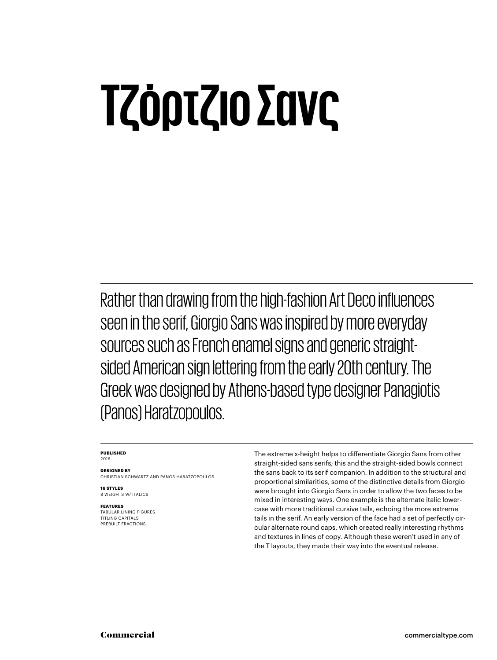# **Τζόρτζιο Σανς**

Rather than drawing from the high-fashion Art Deco influences seen in the serif, Giorgio Sans was inspired by more everyday sources such as French enamel signs and generic straightsided American sign lettering from the early 20th century. The Greek was designed by Athens-based type designer Panagiotis (Panos) Haratzopoulos.

#### **PUBLISHED** 2016

**DESIGNED BY** CHRISTIAN SCHWARTZ AND PANOS HARATZOPOULOS

**16 STYLES** 8 WEIGHTS W/ ITALICS

**FEATURES**

TABULAR LINING FIGURES TITLING CAPITALS PREBUILT FRACTIONS

The extreme x-height helps to differentiate Giorgio Sans from other straight-sided sans serifs; this and the straight-sided bowls connect the sans back to its serif companion. In addition to the structural and proportional similarities, some of the distinctive details from Giorgio were brought into Giorgio Sans in order to allow the two faces to be mixed in interesting ways. One example is the alternate italic lowercase with more traditional cursive tails, echoing the more extreme tails in the serif. An early version of the face had a set of perfectly circular alternate round caps, which created really interesting rhythms and textures in lines of copy. Although these weren't used in any of the T layouts, they made their way into the eventual release.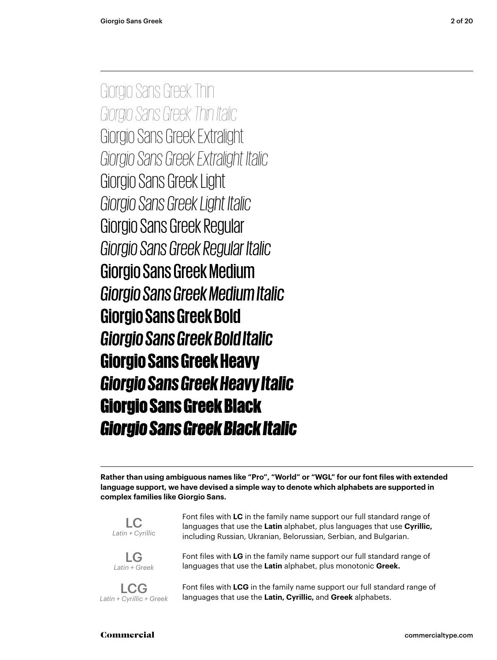Giorgio Sans Greek Thin *Giorgio Sans Greek Thin Italic* Giorgio Sans Greek Extralight *Giorgio Sans Greek Extralight Italic* Giorgio Sans Greek Light *Giorgio Sans Greek Light Italic* Giorgio Sans Greek Regular *Giorgio Sans Greek Regular Italic* Giorgio Sans Greek Medium *Giorgio Sans Greek Medium Italic* **Giorgio Sans Greek Bold** *Giorgio Sans Greek Bold Italic* Giorgio Sans Greek Heavy *Giorgio Sans Greek Heavy Italic* Giorgio Sans Greek Black *Giorgio Sans Greek Black Italic*

**Rather than using ambiguous names like "Pro", "World" or "WGL" for our font files with extended language support, we have devised a simple way to denote which alphabets are supported in complex families like Giorgio Sans.**



LG *Latin + Greek*

LCG *Latin + Cyrillic + Greek* languages that use the **Latin** alphabet, plus languages that use **Cyrillic,** including Russian, Ukranian, Belorussian, Serbian, and Bulgarian.

Font files with **LC** in the family name support our full standard range of

Font files with **LG** in the family name support our full standard range of languages that use the **Latin** alphabet, plus monotonic **Greek.**

Font files with **LCG** in the family name support our full standard range of languages that use the **Latin, Cyrillic,** and **Greek** alphabets.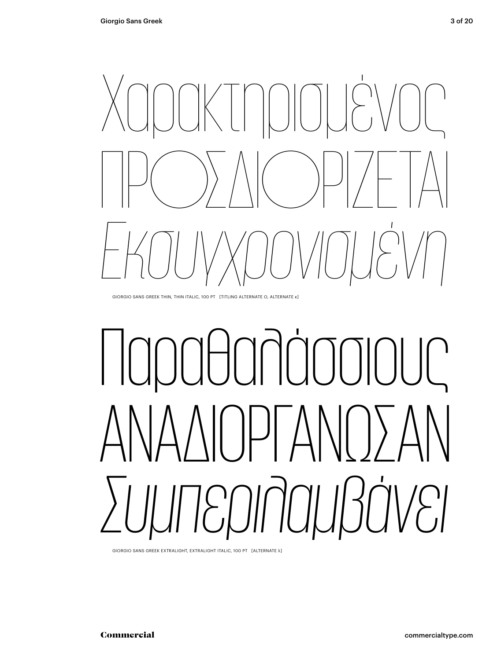

GIORGIO SANS GREEK THIN, THIN ITALIC, 100 PT [TITLING ALTERNATE O, ALTERNATE κ]

# Παραθαλάσσιους ΑΝΑΔΙΟΡΓΆΝΩΣΑΝ *Συμπεριλαμβάνει*

GIORGIO SANS GREEK EXTRALIGHT, EXTRALIGHT ITALIC, 100 PT [ALTERNATE λ]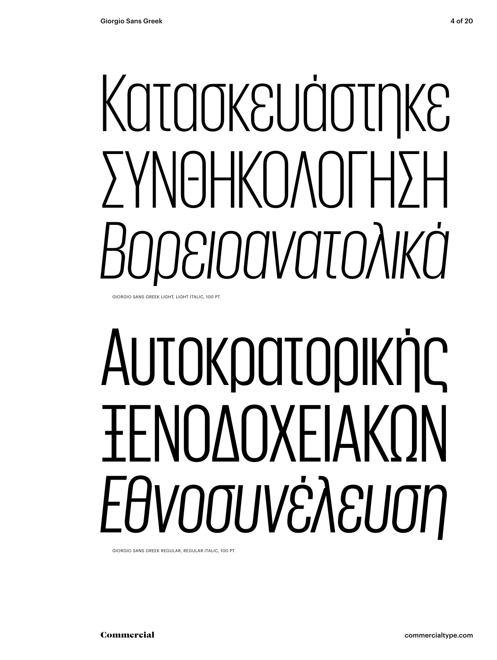# Κατασκευάστηκε ΣΥΝΘΗΚΟΛΟΓΗΣΗ *Βορειοανατολικά*

GIORGIO SANS GREEK LIGHT, LIGHT ITALIC, 100 PT

# Αυτοκρατορικής ΞΕΝΟΔΟΧΕΙΑΚΏΝ *Εθνοσυνέλευση*

GIORGIO SANS GREEK REGULAR, REGULAR ITALIC, 100 PT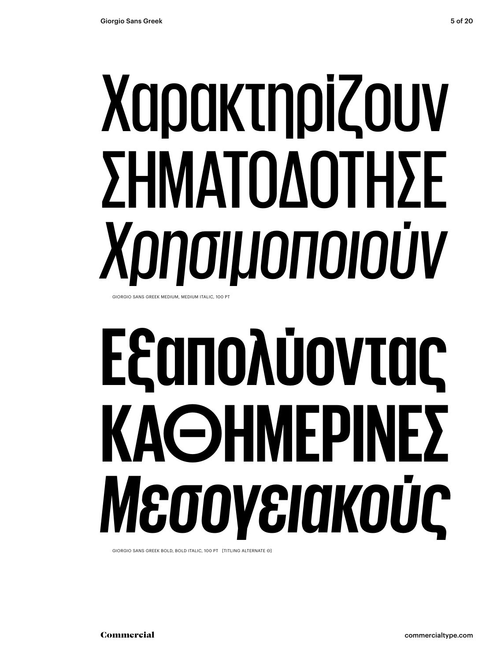# Χαρακτηρίζουν ΣΗΜΑΤΟΔΟΤΗΣΕ *Χρησιμοποιούν* GIORGIO SANS GREEK MEDIUM, MEDIUM ITALIC, 100 PT

# **Εξαπολύοντας ΚΑΘΗΜΕΡΙΝΕΣ**  *Μεσογειακούς*

GIORGIO SANS GREEK BOLD, BOLD ITALIC, 100 PT [TITLING ALTERNATE Θ]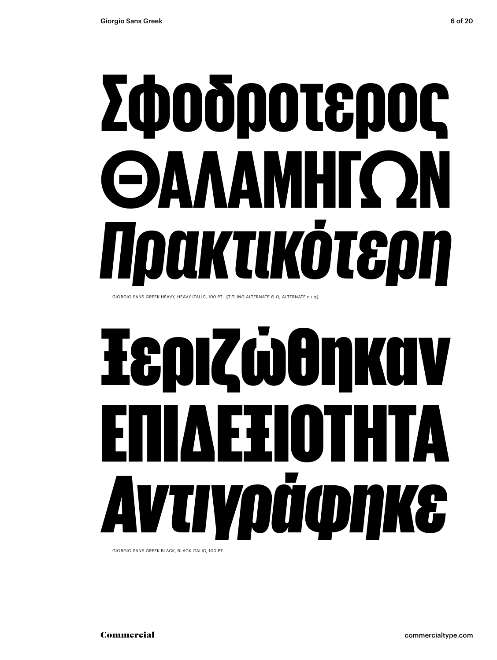# Σφοδροτερος ΘΑΛΑΜΗΓΏΝ *Πρακτικότερη*

GIORGIO SANS GREEK HEAVY, HEAVY ITALIC, 100 PT [TITLING ALTERNATE Θ Ω, ALTERNATE α ι φ]

# Ξεριζώθηκαν ΕΞΙΟΤΗΤΑ *Αντιγράφηκε*

GIORGIO SANS GREEK BLACK, BLACK ITALIC, 100 PT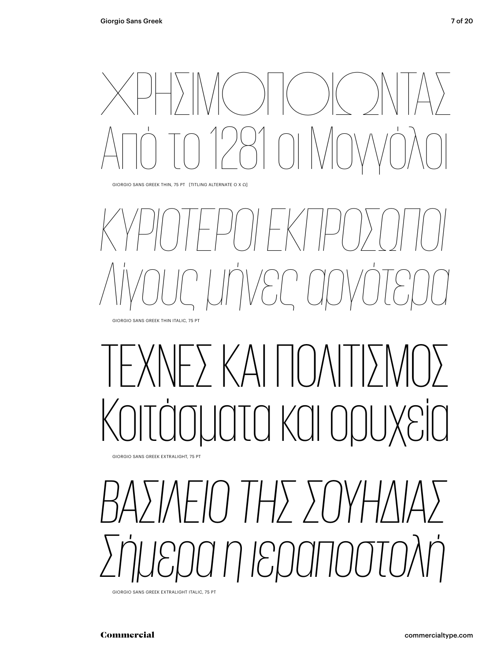ΧΡΗΣΙΜΟΠΟΙΏΝΤΑΣ Από το 1281 οι Μογγόλοι

GIORGIO SANS GREEK THIN, 75 PT [TITLING ALTERNATE Ο Χ Ω]

### *ΚΥΡΙΌΤΕΡΟΙ ΕΚΠΡΌΣΩΠΟΙ Λίγους μήνες αργότερα* GIORGIO SANS GREEK THIN ITALIC, 75 PT

## - ) ΚΑΙ ΠΟΙ τα και ορυ

GIORGIO SANS GREEK EXTRALIGHT, 75 PT

## *ΒΑΣΊΛΕΙΟ ΤΗΣ ΣΟΥΗΔΊΑΣ Σήμερα η ιεραποστολή*

GIORGIO SANS GREEK EXTRALIGHT ITALIC, 75 PT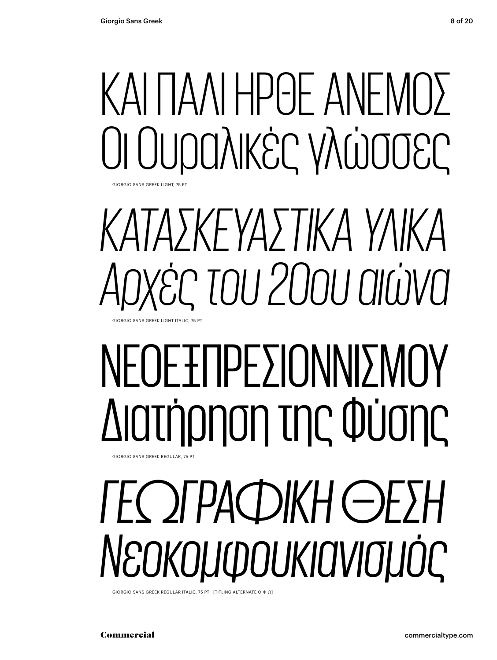GIORGIO SANS GREEK LIGHT, 75 PT

## ΚΑΙ ΠΑΛΙ ΗΡΘΕ ΑΝΕΜΟΣ Οι Ουραλικές γλώσσες

*ΚΑΤΑΣΚΕΥΑΣΤΙΚΑ ΥΛΙΚΑ Αρχές του 20ου αιώνα* GIORGIO SANS GREEK LIGHT ITALIC, 75 PT

# ΝΕΟΕΞΠΡΕΣΙΟΝΝΙΣΜΟΎ Διατήρηση της Φύσης

#### GIORGIO SANS GREEK REGULAR, 75 PT

## *ΓΕΩΓΡΑΦΙΚΉ ΘΕΣΗ Νεοκομφουκιανισμός*

GIORGIO SANS GREEK REGULAR ITALIC, 75 PT [TITLING ALTERNATE Θ Φ Ω]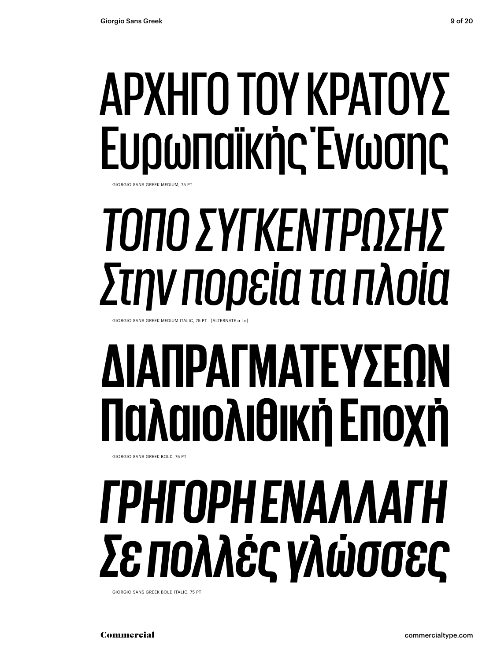### ΑΡΧΗΓΟ ΤΟΥ ΚΡΑΤΟΥΣ Ευρωπαϊκής Ένωσης SIORGIO SANS GREEK MEDILIM, 75

# *ΤΌΠΟ ΣΥΓΚΈΝΤΡΩΣΗΣ Στην πορεία τα πλοία*

GIORGIO SANS GREEK MEDIUM ITALIC, 75 PT [ALTERNATE α ί π]

### **ΔΙΑΠΡΑΓΜΑΤΕΎΣΕΩΝ Παλαιολιθική Εποχή** GIORGIO SANS GREEK BOLD, 75 PT

# *ΓΡΉΓΟΡΗ ΕΝΑΛΛΑΓΉ Σε πολλές γλώσσες*

GIORGIO SANS GREEK BOLD ITALIC, 75 PT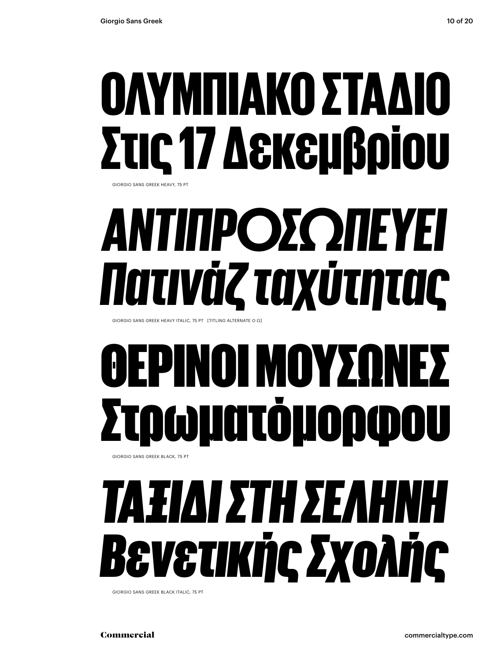### ΟΛΥΜΠΙΑΚΟ ΣΤΑΔΙ Στις 17 Δεκεμβρίου GIORGIO SANS GREEK HEAVY, 75 PT

# *ΑΝΤΙΠΡΟΣΩΠΕΎΕΙ Πατινάζ ταχύτητας*

GIORGIO SANS GREEK HEAVY ITALIC, 75 PT [TITLING ALTERNATE O Ω]

### ΝΟΙ ΜΟΥΣ Στρωµατόµορφου GIORGIO SANS GREEK BLACK, 75 PT

## *ΤΑΞΊΔΙ ΣΤΗ ΣΕΛΗΝΗ Βενετικής Σχολής*

GIORGIO SANS GREEK BLACK ITALIC, 75 PT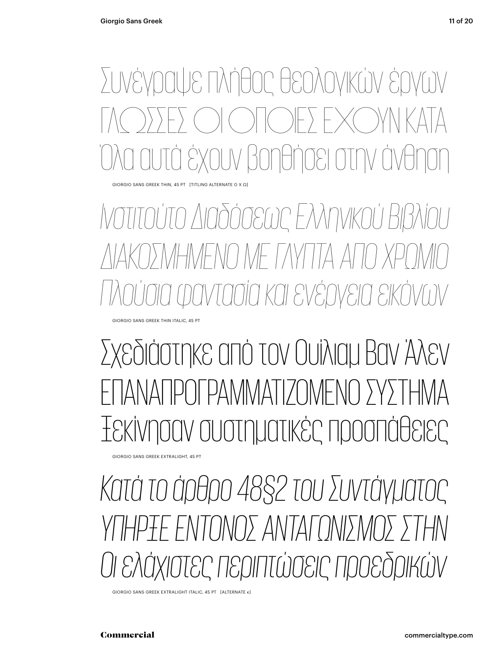Συνέγραψε πλήθος θεολογικών έργων ΓΛΏΣΣΕΣ ΟΙ ΟΠΟΙΕΣ ΕΧΟΥΝ ΚΑΤΑ ουν βοηθήσει στην άνθ

GIORGIO SANS GREEK THIN, 45 PT [TITLING ALTERNATE Ο Χ Ω]

*Ινστιτούτο Διαδόσεως Ελληνικού Βιβλίου ΔΙΑΚΟΣΜΗΜΕΝΟ ΜΕ ΓΛΥΠΤΑ ΑΠΌ ΧΡΩΜΙΟ Πλούσια φαντασία και ενέργεια εικόνων*

GIORGIO SANS GREEK THIN ITALIC, 45 PT

Σχεδιάστηκε από τον Ουίλιαμ Βαν Άλεν ΤΑΝΑΠΡΟΓΡΑΜΜΑΤΙΖΟΜΕΝΟ ΣΥΣΤ Ξεκίνησαν συστηματικές προσπάθειες

GIORGIO SANS GREEK EXTRALIGHT, 45 PT

*Κατά το άρθρο 48§2 του Συντάγματος ΥΠΗΡΞΕ ΕΝΤΟΝΟΣ ΑΝΤΑΓΩΝΙΣΜΟΣ ΣΤΗΝ Οι ελάχιστες περιπτώσεις προεδρικών*

GIORGIO SANS GREEK EXTRALIGHT ITALIC, 45 PT [ALTERNATE κ]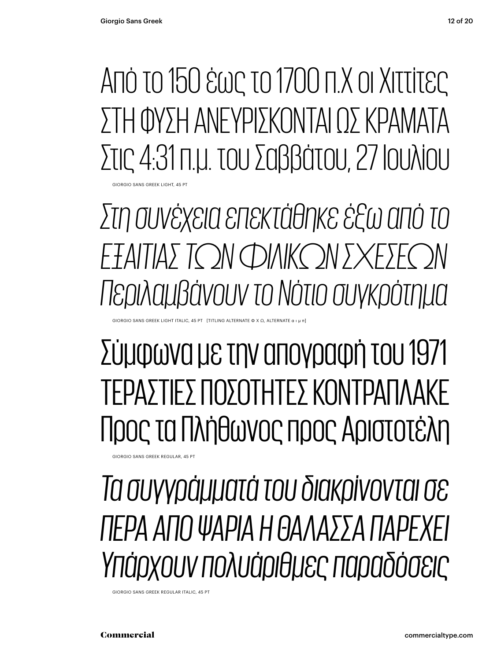Από το 150 έως το 1700 π.Χ οι Χιττίτες ΣΤΗ ΦΥΣΗ ΑΝΕΥΡΙΣΚΟΝΤΑΙ ΩΣ ΚΡΑΜΑΤΑ Στις 4:31 π.μ. του Σαββάτου, 27 Ιουλίου

GIORGIO SANS GREEK LIGHT, 45 PT

*Στη συνέχεια επεκτάθηκε έξω από το* ΕΞΑΙΤΙΑΣ ΤΩΝ ΦΙΛΙΚΩΝ ΣΧΕΣΕΙ *Περιλαμβάνουν το Νότιο συγκρότημα*

 $G$ iORGIO SANS GREEK LIGHT ITALIC, 45 PT $\;$  [TITLING ALTERNATE Φ Χ Ω, ALTERNATE α

#### Σύμφωνα με την απογραφή του 1971 ΤΕΡΑΣΤΙΕΣ ΠΟΣΟΤΗΤΕΣ ΚΟΝΤΡΑΠΛΑΚΕ Προς τα Πλήθωνος προς Αριστοτέλη

GIORGIO SANS GREEK REGULAR, 45 F

#### *Τα συγγράμματά του διακρίνονται σε ΠΕΡΑ ΑΠΌ ΨΑΡΙΑ Η ΘΑΛΑΣΣΑ ΠΑΡΕΧΕΙ Υπάρχουν πολυάριθμες παραδόσεις*

GIORGIO SANS GREEK REGULAR ITALIC, 45 PT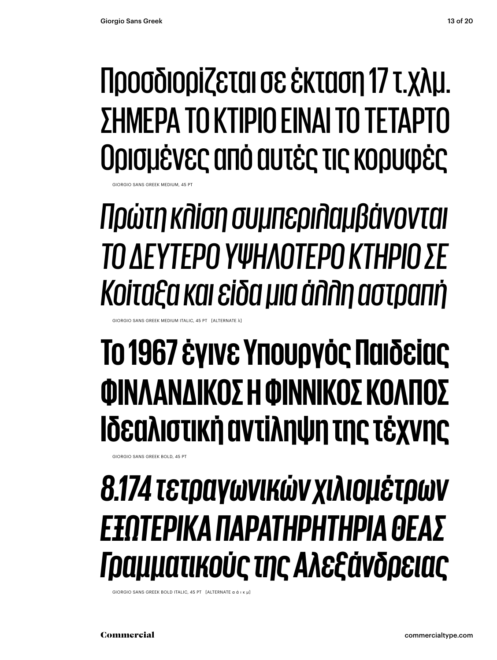#### Προσδιορίζεται σε έκταση 17 τ.χλμ. ΣΗΜΕΡΑ ΤΟ ΚΤΊΡΙΟ ΕΊΝΑΙ ΤΟ ΤΈΤΑΡΤΟ Ορισμένες από αυτές τις κορυφές

GIORGIO SANS GREEK MEDIUM, 45 PT

*Πρώτη κλίση συμπεριλαμβάνονται ΤΟ ΔΕΎΤΕΡΟ ΥΨΗΛΌΤΕΡΟ ΚΤΗΡΙΟ ΣΕ Κοίταξα και είδα μια άλλη αστραπή*

**IORGIO SANS GREEK MEDIUM ITALIC, 45 PT [ALTERNATE** 

### **Το 1967 έγινε Υπουργός Παιδείας ΦΙΝΛΑΝΔΙΚΌΣ Η ΦΙΝΝΙΚΌΣ ΚΌΛΠΟΣ Ιδεαλιστική αντίληψη της τέχνης**

GIORGIO SANS GREEK BOLD, 45 PT

#### *8.174 τετραγωνικών χιλιομέτρων ΕΞΩΤΕΡΙΚΑ ΠΑΡΑΤΗΡΗΤΉΡΙΑ ΘΕΑΣ Γραμματικούς της Αλεξάνδρειας*

GIORGIO SANS GREEK BOLD ITALIC, 45 PT [ALTERNATE α ά ι κ μ]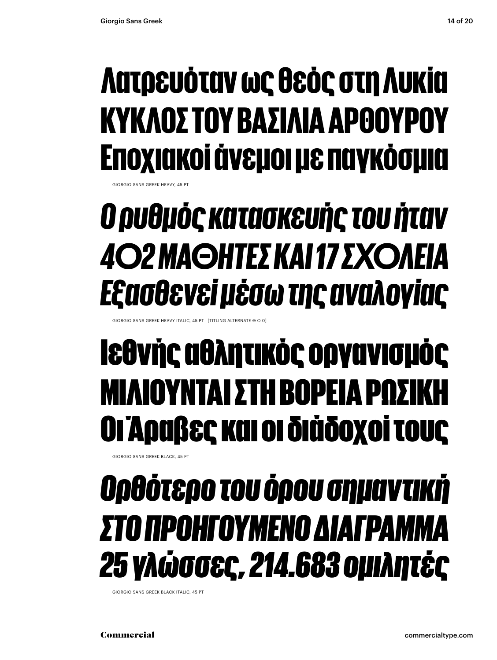### Λατρευόταν ως θεός στη Λυκία ΚΥΚΛΟΣ ΤΟΥ ΒΑΣΙΛΙΑ ΑΡΘΟΥΡΟΥ Εποχιακοί άνεμοι με παγκόσμια

GIORGIO SANS GREEK HEAVY.

### *Ο ρυθμός κατασκευής του ήταν 402 ΜΑΘΗΤΕΣ ΚΑΙ 17 ΣΧΟΛΕΙΑ Εξασθενεί μέσω της αναλογίας*

GIORGIO SANS GREEK HEAVY ITALIC, 45 PT [TITLING ALTERNATE Θ O 0]

### Ιεθνής αθλητικός οργανισμός ΜΙΛΙΟΥΝΤΑΙ ΣΤΗ ΒΟΡΕΙΑ ΡΩΣ Οι Άραβες και οι διάδοχοί τους

GIORGIO SANS GREEK BLACK, 45 PT

### *Ορθότερο του όρου σημαντική ΣΤΟ ΠΡΟΗΓΟΎΜΕΝΟ ΔΙΆΓΡΑΜΜΑ 25 γλώσσες, 214.683 ομιλητές*

GIORGIO SANS GREEK BLACK ITALIC, 45 PT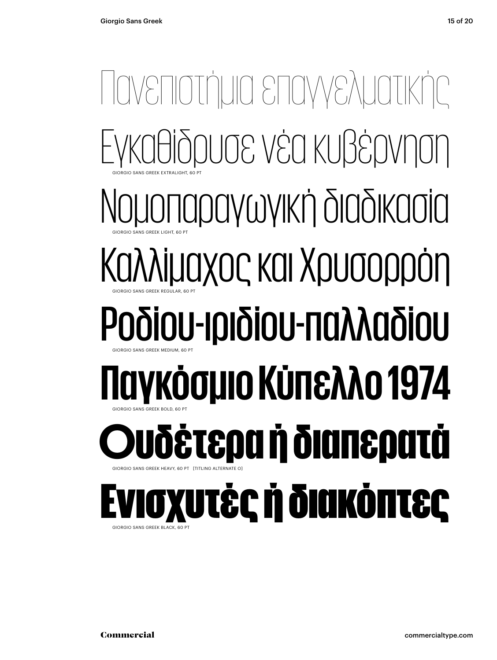#### Πανεπιστήμια επαγγελματικής Εγκαθίδρυσε νέα κυβέρνηση Νομοπαραγωγική διαδικασία Καλλίμαχος και Χρυσορρόη Ροδίου-ιριδίου-παλλαδίου **Παγκόσμιο Κύπελλο 1974** Ουδέτερα ή διαπερατά Ενισχυτές ή διακόπτες GIORGIO SANS GREEK EXTRALIGHT, 60 PT GIORGIO SANS GREEK LIGHT, 60 PT GIORGIO SANS GREEK REGULAR, 60 PT GIORGIO SANS GREEK MEDIUM, 60 PT GIORGIO SANS GREEK BOLD, 60 PT GIORGIO SANS GREEK HEAVY, 60 PT [TITLING ALTERNATE O] GIORGIO SANS GREEK BLACK, 60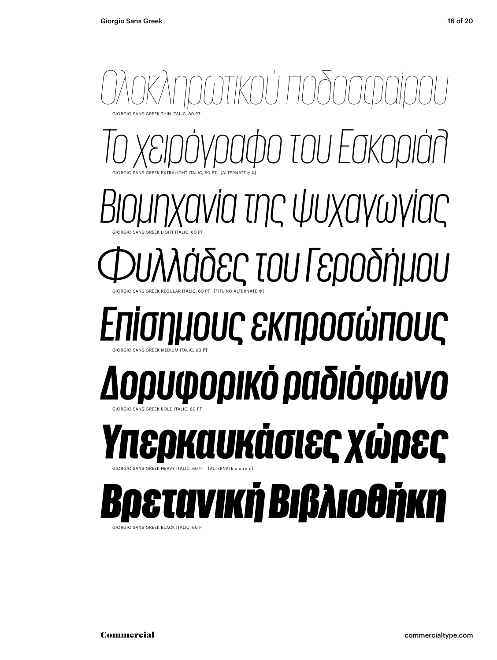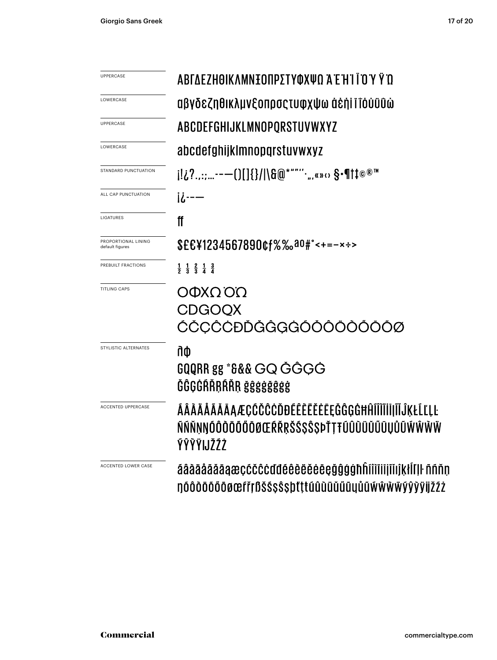| UPPERCASE                              | ΑΒΓΔΕΖΗΘΙΚΛΜΝΞΟΠΡΣΤΥΦΧΨΩ Ά Έ Ή Ι Ϊ Ό Ύ Ϋ Ώ                                                             |
|----------------------------------------|--------------------------------------------------------------------------------------------------------|
| LOWERCASE                              | αβγδεζηθικλμνξοπρσςτυφχψω ἀέἡΙ ϊΤόὐϋΰώ                                                                 |
| <b>UPPERCASE</b>                       | ABCDEFGHIJKLMNOPORSTUVWXYZ                                                                             |
| LOWERCASE                              | abcdefghijklmnopqrstuvwxyz                                                                             |
| STANDARD PUNCTUATION                   | j!¿?.,:;--—()[]{}/ \&@*""''·",«»↔ \$•¶†‡©®™                                                            |
| ALL CAP PUNCTUATION                    | $i$ $i$ - $-$                                                                                          |
| LIGATURES                              | ff                                                                                                     |
| PROPORTIONAL LINING<br>default figures | \$££¥1234567890¢f%‰a0#°<+=-x÷>                                                                         |
| PREBUILT FRACTIONS                     | $\frac{1}{2}$ $\frac{1}{3}$ $\frac{2}{3}$ $\frac{1}{4}$ $\frac{3}{4}$                                  |
| <b>TITLING CAPS</b>                    | ΟΦΧΩΌΩ<br><b>CDGOQX</b><br>ĆČCĈĊĐĎĞĜGĠÓŎÔÖŎŐŌŎØ                                                        |
| STYLISTIC ALTERNATES                   | ñФ<br>GQQRR gg *&&& GQ GGGG<br>ĞĜĢĠŔŘŖŔŘŖ ğĝġġğĝġġ                                                     |
| ACCENTED UPPERCASE                     | ÁÂÀÄÅÃĂĀAÆÇĆČĈĊĎĐÉÊÈËĔĔĘĞĜGĠĦĤĨÎÌĬĬĬĬĨŎĶŁĹĽĻĿ<br>ÑŃŇŅŊŎÔŎŎŎŎŎŌŒŔŘŖŠŚŞŜŞÞŤŢŦŨÛÙŬŮŰŨŲŮŨŴŴŴŴ<br>ÝŶŶŸIJŽŹŻ |
| <b>ACCENTED LOWER CASE</b>             | áâàäååäāaæçcčccddéêèëëeegğgghhíîìiiiiiiíiíkłilll ñññn<br>ŊŎÔŎŎŎŎŎØŒſřŗßŠŚŞŜŞþťţŧűûùŭűűũyůũŴŴŴŸŷŷÿijžŹŻ |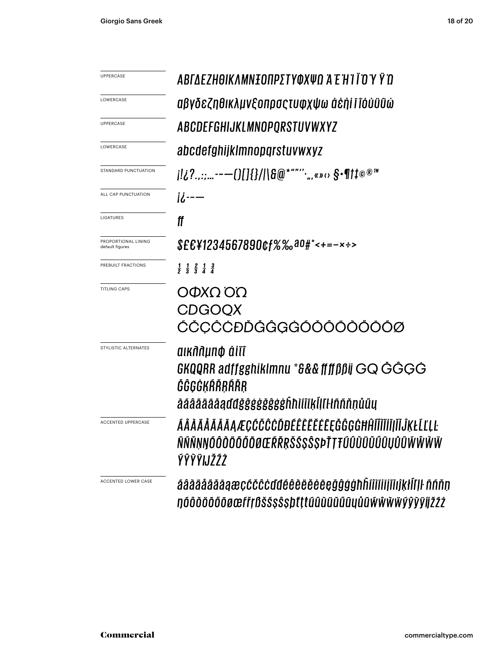| UPPERCASE                              | ΑΒΓΔΕΖΗΘΙΚΛΜΝΞΟΠΡΣΤΥΦΧΨΩ Ά Έ Ή Ι Ϊ Ό Ύ Ϋ́ Ό                                                                                 |
|----------------------------------------|-----------------------------------------------------------------------------------------------------------------------------|
| LOWERCASE                              | αβγδεζηθικλμνξοπρσςτυφχψω ἀέἡἱ ἴ ἴόὐϋΰώ                                                                                     |
| UPPERCASE                              | ABCDEFGHIJKLMNOPQRSTUVWXYZ                                                                                                  |
| LOWERCASE                              | abcdefghijklmnopqrstuvwxyz                                                                                                  |
| STANDARD PUNCTUATION                   | j!¿?::---()[]{}/ \&@*""''.,,«»‹› §•¶†‡©®™                                                                                   |
| ALL CAP PUNCTUATION                    | <u>ii---</u>                                                                                                                |
| LIGATURES                              | ff                                                                                                                          |
| PROPORTIONAL LINING<br>default figures | $$EE41234567890$ cf%%00#°<+=-x÷>                                                                                            |
| PREBUILT FRACTIONS                     | $\frac{1}{2}$ $\frac{1}{3}$ $\frac{2}{3}$ $\frac{1}{4}$ $\frac{3}{4}$                                                       |
| <b>TITLING CAPS</b>                    | ΟΦΧΩΌΩ<br><b>CDGOOX</b><br>ĆČCĈĊĐĎĞĜGĠÓŎÔÖŎŐŌÕØ                                                                             |
| STYLISTIC ALTERNATES                   | aiknaµn¢ áiïí<br>GKQQRR adffgghiklmnu *&&& ffff $\beta$ ßij GQ ĞĜGĠ<br>ĞĞĢĞĶŔŘRŔŔŖ<br>āáâãäāǎąďđǧĝġġǧĝġġĥħìíîikĺḷľŀłñññṇůűų |
| <b>ACCENTED UPPERCASE</b>              | ÁÂÀĂĂĂĂĂĄÆÇĆČĈĊĎĐÉÊĔĔĔĔĔĘĞĜĢĠĦĤĨĨĨĬĬĨĮĨĬĴĶŁĹĽĻĿ<br>ÑŃŇŅŊÓÔŎŎŐŐŎØŒŔŘŖŠŚŞŜŞÞŤŢŦŰÛÙŬŬŰŨŲŮŨŴŴŴŴ<br>ÝŶŶŸIJŽŹŻ                    |
| ACCENTED LOWER CASE                    | áâàäååãāaæçćčĉċďđéêèëěėeçğĝġġħĥíîìiiijĩijkłĺľ ŀ ññňn<br>ŊÓÔŎŎŐŎŎØŒſřŗßŠŚŞŜŞþťţŧűûùŭűűũyůũŴŴŴŸŷŷÿijŽŹŻ                       |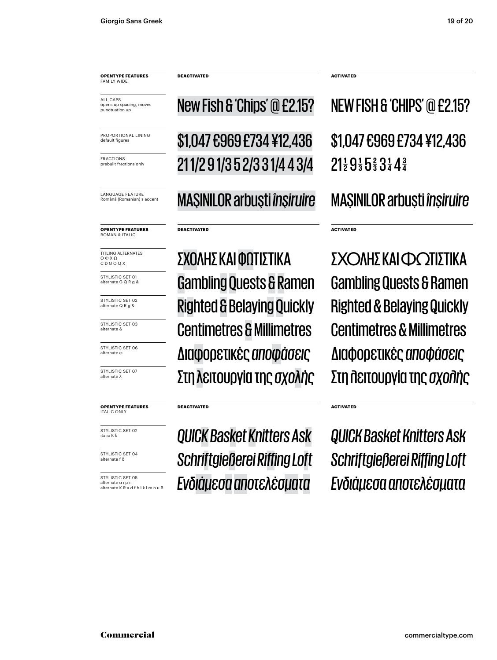**OPENTYPE FEATURES FAMILY WID** 

ALL CAPS opens up spacing, moves punctuation up

PROPORTIONAL LINING default figure

FRACTIONS prebuilt fractions only

LANGUAGE FEATURE Română (Romanian) s accent

**OPENTYPE FEATURES** ROMAN & ITALIC

TITLING ALTERNATES Ο Φ Χ Ω C D G O Q X

STYLISTIC SET 01 alternate G Q R g &

STYLISTIC SET 02 alternate Q R g &

STYLISTIC SET 03 alternate &

STYLISTIC SET 06

STYLISTIC SET 07

#### **OPENTYPE FEATURES** ITALIC ONLY

STYLISTIC SET 02 italic K k

STYLISTIC SET 04 alternate f ß

STYLISTIC SET 05 alternate α ι μ π alternate K R a d f h i k l m n u ß **DEACTIVATED**

New Fish & 'Chips' @ £2.15? NEW FISH & 'CHIPS' @ £2.15?

\$1,047 €969 £734 ¥12,436 21 1/2 9 1/3 5 2/3 3 1/4 4 3/4

MAŞINILOR arbuşti *înşiruire* MAŞINILOR arbuşti *înșiruire*

#### **DEACTIVATED**

ΣΧΟΛΗΣ ΚΑΙΦΩΤΙΣΤΙΚΑ ΣΧΟΛΗΣ ΚΑΙ ΦΩΤΙΣΤΙΚΑ Gambling Quests & Ramen Righted & BelayingQuickly Righted & Belaying Quickly Centimetres & Millimetres alternate φ Διαφορετικές *αποφάσεις* Διαφορετικές *αποφάσεις* alternate λ Στη λειτουργία της *σχολής* Στη λειτουργία της *σχολής*

#### **DEACTIVATED**

*QUICKBasket Knitters Ask Schriftgießerei Riffing Loft Ενδιάμεσααποτελέσματα Ενδιάμεσα αποτελέσματα*

**ACTIVATED**

**ACTIVATED**

**ACTIVATED**

 $21\frac{1}{2}$   $9\frac{1}{3}$   $5\frac{2}{3}$   $3\frac{1}{4}$   $4\frac{3}{4}$ \$1,047 €969 £734 ¥12,436

Centimetres & Millimetres Gambling Quests & Ramen

*Schriftgießerei Riffing Loft QUICK Basket Knitters Ask*